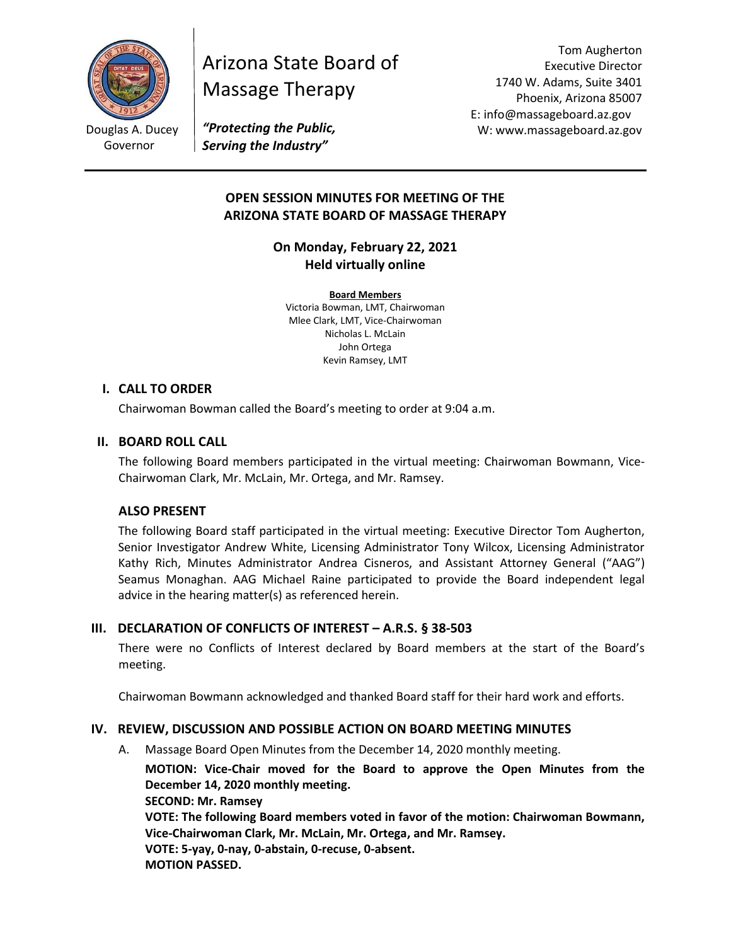

Governor

# Arizona State Board of Massage Therapy

Tom Augherton Executive Director 1740 W. Adams, Suite 3401 Phoenix, Arizona 85007 E: info@massageboard.az.gov W: www.massageboard.az.gov

*"Protecting the Public, Serving the Industry"*

# **OPEN SESSION MINUTES FOR MEETING OF THE ARIZONA STATE BOARD OF MASSAGE THERAPY**

**On Monday, February 22, 2021 Held virtually online** 

**Board Members** Victoria Bowman, LMT, Chairwoman Mlee Clark, LMT, Vice-Chairwoman Nicholas L. McLain John Ortega Kevin Ramsey, LMT

# **I. CALL TO ORDER**

Chairwoman Bowman called the Board's meeting to order at 9:04 a.m.

# **II. BOARD ROLL CALL**

The following Board members participated in the virtual meeting: Chairwoman Bowmann, Vice-Chairwoman Clark, Mr. McLain, Mr. Ortega, and Mr. Ramsey.

#### **ALSO PRESENT**

The following Board staff participated in the virtual meeting: Executive Director Tom Augherton, Senior Investigator Andrew White, Licensing Administrator Tony Wilcox, Licensing Administrator Kathy Rich, Minutes Administrator Andrea Cisneros, and Assistant Attorney General ("AAG") Seamus Monaghan. AAG Michael Raine participated to provide the Board independent legal advice in the hearing matter(s) as referenced herein.

#### **III. DECLARATION OF CONFLICTS OF INTEREST – A.R.S. § 38-503**

There were no Conflicts of Interest declared by Board members at the start of the Board's meeting.

Chairwoman Bowmann acknowledged and thanked Board staff for their hard work and efforts.

#### **IV. REVIEW, DISCUSSION AND POSSIBLE ACTION ON BOARD MEETING MINUTES**

A. Massage Board Open Minutes from the December 14, 2020 monthly meeting.

**MOTION: Vice-Chair moved for the Board to approve the Open Minutes from the December 14, 2020 monthly meeting.** 

**SECOND: Mr. Ramsey** 

**VOTE: The following Board members voted in favor of the motion: Chairwoman Bowmann, Vice-Chairwoman Clark, Mr. McLain, Mr. Ortega, and Mr. Ramsey.**

**VOTE: 5-yay, 0-nay, 0-abstain, 0-recuse, 0-absent. MOTION PASSED.**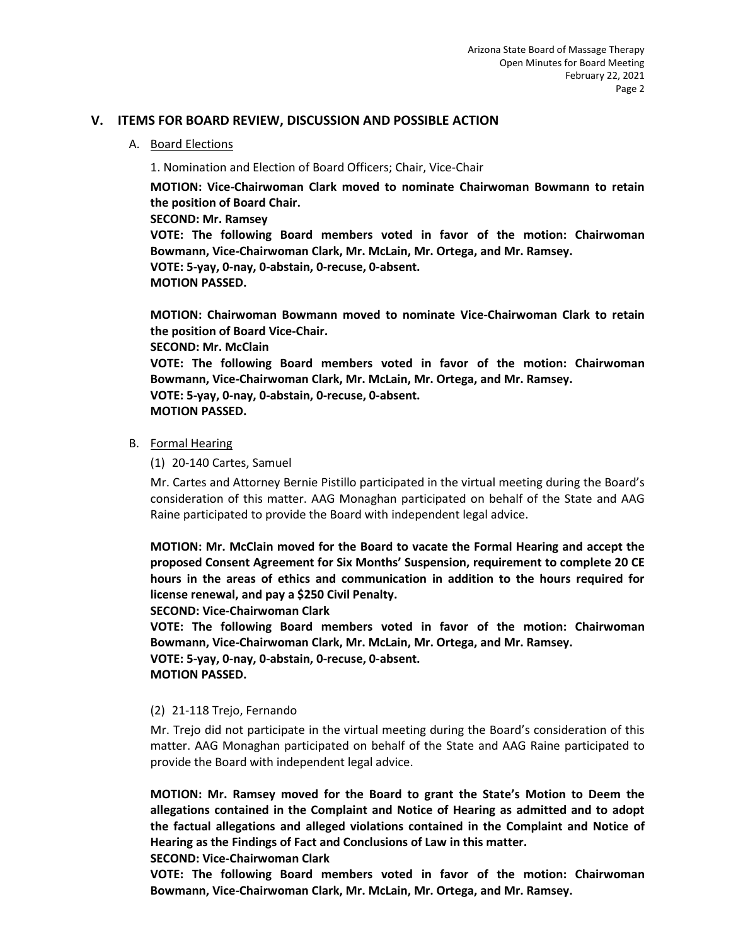### **V. ITEMS FOR BOARD REVIEW, DISCUSSION AND POSSIBLE ACTION**

#### A. Board Elections

1. Nomination and Election of Board Officers; Chair, Vice-Chair

**MOTION: Vice-Chairwoman Clark moved to nominate Chairwoman Bowmann to retain the position of Board Chair.** 

**SECOND: Mr. Ramsey** 

**VOTE: The following Board members voted in favor of the motion: Chairwoman Bowmann, Vice-Chairwoman Clark, Mr. McLain, Mr. Ortega, and Mr. Ramsey. VOTE: 5-yay, 0-nay, 0-abstain, 0-recuse, 0-absent. MOTION PASSED.** 

**MOTION: Chairwoman Bowmann moved to nominate Vice-Chairwoman Clark to retain the position of Board Vice-Chair. SECOND: Mr. McClain** 

**VOTE: The following Board members voted in favor of the motion: Chairwoman Bowmann, Vice-Chairwoman Clark, Mr. McLain, Mr. Ortega, and Mr. Ramsey. VOTE: 5-yay, 0-nay, 0-abstain, 0-recuse, 0-absent. MOTION PASSED.** 

#### B. Formal Hearing

(1) 20-140 Cartes, Samuel

Mr. Cartes and Attorney Bernie Pistillo participated in the virtual meeting during the Board's consideration of this matter. AAG Monaghan participated on behalf of the State and AAG Raine participated to provide the Board with independent legal advice.

**MOTION: Mr. McClain moved for the Board to vacate the Formal Hearing and accept the proposed Consent Agreement for Six Months' Suspension, requirement to complete 20 CE hours in the areas of ethics and communication in addition to the hours required for license renewal, and pay a \$250 Civil Penalty.** 

**SECOND: Vice-Chairwoman Clark** 

**VOTE: The following Board members voted in favor of the motion: Chairwoman Bowmann, Vice-Chairwoman Clark, Mr. McLain, Mr. Ortega, and Mr. Ramsey.**

**VOTE: 5-yay, 0-nay, 0-abstain, 0-recuse, 0-absent.** 

**MOTION PASSED.** 

#### (2) 21-118 Trejo, Fernando

Mr. Trejo did not participate in the virtual meeting during the Board's consideration of this matter. AAG Monaghan participated on behalf of the State and AAG Raine participated to provide the Board with independent legal advice.

**MOTION: Mr. Ramsey moved for the Board to grant the State's Motion to Deem the allegations contained in the Complaint and Notice of Hearing as admitted and to adopt the factual allegations and alleged violations contained in the Complaint and Notice of Hearing as the Findings of Fact and Conclusions of Law in this matter.** 

**SECOND: Vice-Chairwoman Clark** 

**VOTE: The following Board members voted in favor of the motion: Chairwoman Bowmann, Vice-Chairwoman Clark, Mr. McLain, Mr. Ortega, and Mr. Ramsey.**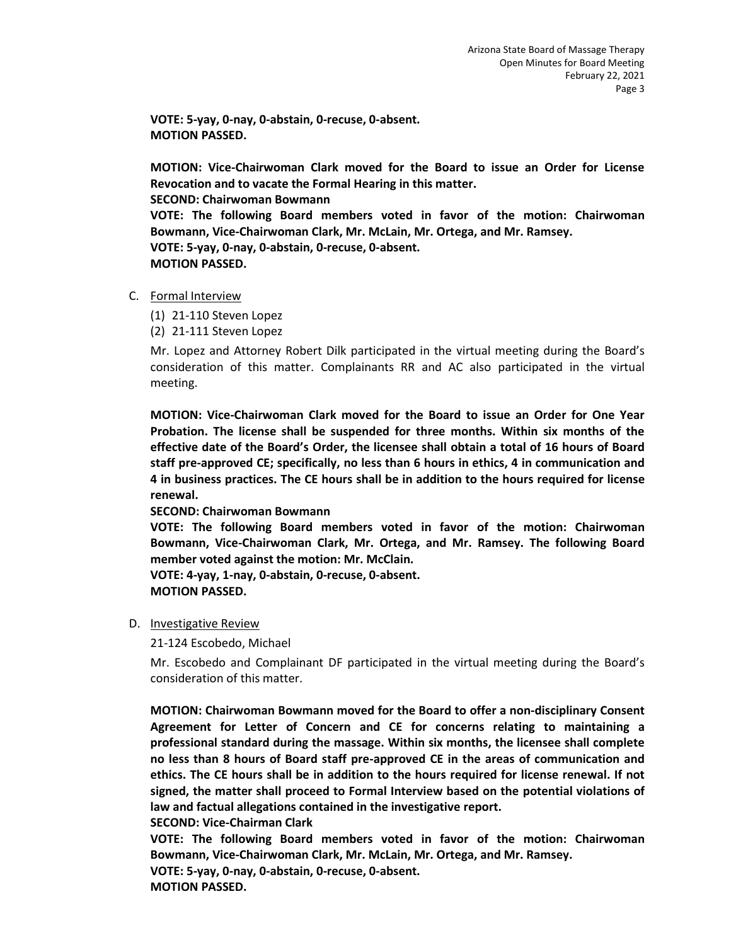**VOTE: 5-yay, 0-nay, 0-abstain, 0-recuse, 0-absent. MOTION PASSED.** 

**MOTION: Vice-Chairwoman Clark moved for the Board to issue an Order for License Revocation and to vacate the Formal Hearing in this matter. SECOND: Chairwoman Bowmann VOTE: The following Board members voted in favor of the motion: Chairwoman Bowmann, Vice-Chairwoman Clark, Mr. McLain, Mr. Ortega, and Mr. Ramsey. VOTE: 5-yay, 0-nay, 0-abstain, 0-recuse, 0-absent. MOTION PASSED.** 

- C. Formal Interview
	- (1) 21-110 Steven Lopez
	- (2) 21-111 Steven Lopez

Mr. Lopez and Attorney Robert Dilk participated in the virtual meeting during the Board's consideration of this matter. Complainants RR and AC also participated in the virtual meeting.

**MOTION: Vice-Chairwoman Clark moved for the Board to issue an Order for One Year Probation. The license shall be suspended for three months. Within six months of the effective date of the Board's Order, the licensee shall obtain a total of 16 hours of Board staff pre-approved CE; specifically, no less than 6 hours in ethics, 4 in communication and 4 in business practices. The CE hours shall be in addition to the hours required for license renewal.** 

**SECOND: Chairwoman Bowmann** 

**VOTE: The following Board members voted in favor of the motion: Chairwoman Bowmann, Vice-Chairwoman Clark, Mr. Ortega, and Mr. Ramsey. The following Board member voted against the motion: Mr. McClain.** 

**VOTE: 4-yay, 1-nay, 0-abstain, 0-recuse, 0-absent. MOTION PASSED.** 

#### D. Investigative Review

21-124 Escobedo, Michael

Mr. Escobedo and Complainant DF participated in the virtual meeting during the Board's consideration of this matter.

**MOTION: Chairwoman Bowmann moved for the Board to offer a non-disciplinary Consent Agreement for Letter of Concern and CE for concerns relating to maintaining a professional standard during the massage. Within six months, the licensee shall complete no less than 8 hours of Board staff pre-approved CE in the areas of communication and ethics. The CE hours shall be in addition to the hours required for license renewal. If not signed, the matter shall proceed to Formal Interview based on the potential violations of law and factual allegations contained in the investigative report.** 

**SECOND: Vice-Chairman Clark**

**VOTE: The following Board members voted in favor of the motion: Chairwoman Bowmann, Vice-Chairwoman Clark, Mr. McLain, Mr. Ortega, and Mr. Ramsey. VOTE: 5-yay, 0-nay, 0-abstain, 0-recuse, 0-absent.** 

**MOTION PASSED.**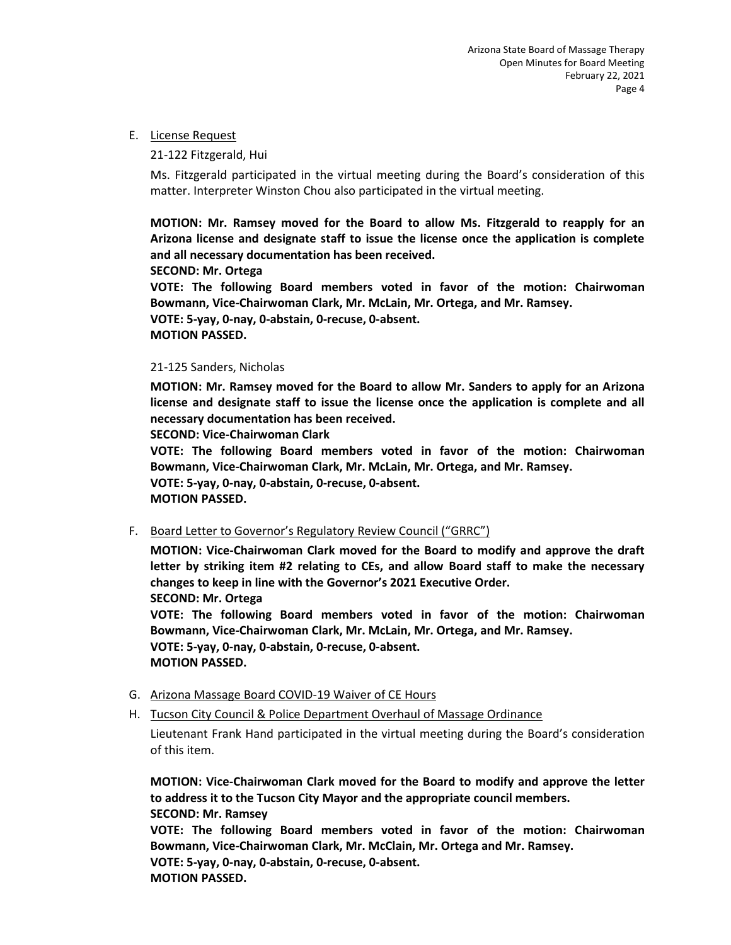#### E. License Request

#### 21-122 Fitzgerald, Hui

Ms. Fitzgerald participated in the virtual meeting during the Board's consideration of this matter. Interpreter Winston Chou also participated in the virtual meeting.

**MOTION: Mr. Ramsey moved for the Board to allow Ms. Fitzgerald to reapply for an Arizona license and designate staff to issue the license once the application is complete and all necessary documentation has been received.** 

**SECOND: Mr. Ortega** 

**VOTE: The following Board members voted in favor of the motion: Chairwoman Bowmann, Vice-Chairwoman Clark, Mr. McLain, Mr. Ortega, and Mr. Ramsey. VOTE: 5-yay, 0-nay, 0-abstain, 0-recuse, 0-absent. MOTION PASSED.** 

#### 21-125 Sanders, Nicholas

**MOTION: Mr. Ramsey moved for the Board to allow Mr. Sanders to apply for an Arizona license and designate staff to issue the license once the application is complete and all necessary documentation has been received.** 

**SECOND: Vice-Chairwoman Clark** 

**VOTE: The following Board members voted in favor of the motion: Chairwoman Bowmann, Vice-Chairwoman Clark, Mr. McLain, Mr. Ortega, and Mr. Ramsey. VOTE: 5-yay, 0-nay, 0-abstain, 0-recuse, 0-absent. MOTION PASSED.** 

F. Board Letter to Governor's Regulatory Review Council ("GRRC")

**MOTION: Vice-Chairwoman Clark moved for the Board to modify and approve the draft letter by striking item #2 relating to CEs, and allow Board staff to make the necessary changes to keep in line with the Governor's 2021 Executive Order.** 

**SECOND: Mr. Ortega** 

**VOTE: The following Board members voted in favor of the motion: Chairwoman Bowmann, Vice-Chairwoman Clark, Mr. McLain, Mr. Ortega, and Mr. Ramsey. VOTE: 5-yay, 0-nay, 0-abstain, 0-recuse, 0-absent. MOTION PASSED.** 

#### G. Arizona Massage Board COVID-19 Waiver of CE Hours

H. Tucson City Council & Police Department Overhaul of Massage Ordinance

Lieutenant Frank Hand participated in the virtual meeting during the Board's consideration of this item.

**MOTION: Vice-Chairwoman Clark moved for the Board to modify and approve the letter to address it to the Tucson City Mayor and the appropriate council members. SECOND: Mr. Ramsey** 

**VOTE: The following Board members voted in favor of the motion: Chairwoman Bowmann, Vice-Chairwoman Clark, Mr. McClain, Mr. Ortega and Mr. Ramsey. VOTE: 5-yay, 0-nay, 0-abstain, 0-recuse, 0-absent. MOTION PASSED.**